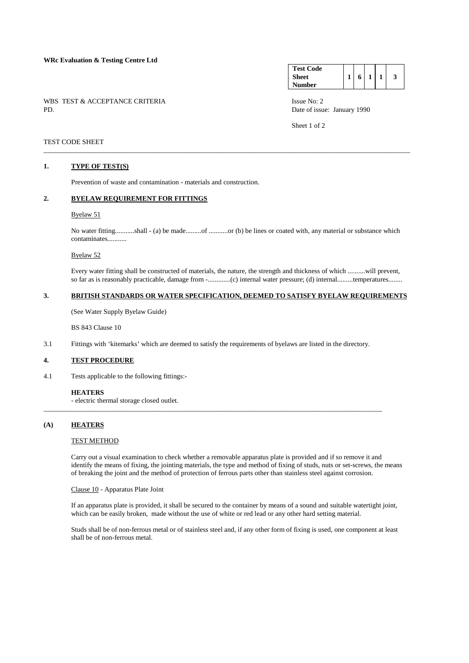#### **WRc Evaluation & Testing Centre Ltd**

WBS TEST & ACCEPTANCE CRITERIA Issue No: 2<br>PD Date of issue

#### **Test Code Sheet Number**   $1 \mid 6 \mid 1 \mid 1 \mid 3$

Date of issue: January 1990

Sheet 1 of 2

## TEST CODE SHEET

### **1. TYPE OF TEST(S)**

Prevention of waste and contamination - materials and construction.

#### **2. BYELAW REQUIREMENT FOR FITTINGS**

#### Byelaw 51

 No water fitting...........shall - (a) be made.........of ...........or (b) be lines or coated with, any material or substance which contaminates...........

\_\_\_\_\_\_\_\_\_\_\_\_\_\_\_\_\_\_\_\_\_\_\_\_\_\_\_\_\_\_\_\_\_\_\_\_\_\_\_\_\_\_\_\_\_\_\_\_\_\_\_\_\_\_\_\_\_\_\_\_\_\_\_\_\_\_\_\_\_\_\_\_\_\_\_\_\_\_\_\_\_\_\_\_\_\_\_\_\_\_\_\_\_\_\_\_\_\_\_\_\_\_\_\_\_

# Byelaw 52

 Every water fitting shall be constructed of materials, the nature, the strength and thickness of which ..........will prevent, so far as is reasonably practicable, damage from -.............(c) internal water pressure; (d) internal.........temperatures........

#### **3. BRITISH STANDARDS OR WATER SPECIFICATION, DEEMED TO SATISFY BYELAW REQUIREMENTS**

(See Water Supply Byelaw Guide)

BS 843 Clause 10

3.1 Fittings with 'kitemarks' which are deemed to satisfy the requirements of byelaws are listed in the directory.

\_\_\_\_\_\_\_\_\_\_\_\_\_\_\_\_\_\_\_\_\_\_\_\_\_\_\_\_\_\_\_\_\_\_\_\_\_\_\_\_\_\_\_\_\_\_\_\_\_\_\_\_\_\_\_\_\_\_\_\_\_\_\_\_\_\_\_\_\_\_\_\_\_\_\_\_\_\_\_\_\_\_\_\_\_\_\_\_\_\_\_\_\_\_\_\_\_

#### **4. TEST PROCEDURE**

4.1 Tests applicable to the following fittings:-

#### **HEATERS**

- electric thermal storage closed outlet.

### **(A) HEATERS**

#### TEST METHOD

Carry out a visual examination to check whether a removable apparatus plate is provided and if so remove it and identify the means of fixing, the jointing materials, the type and method of fixing of studs, nuts or set-screws, the means of breaking the joint and the method of protection of ferrous parts other than stainless steel against corrosion.

#### Clause 10 - Apparatus Plate Joint

If an apparatus plate is provided, it shall be secured to the container by means of a sound and suitable watertight joint, which can be easily broken, made without the use of white or red lead or any other hard setting material.

 Studs shall be of non-ferrous metal or of stainless steel and, if any other form of fixing is used, one component at least shall be of non-ferrous metal.